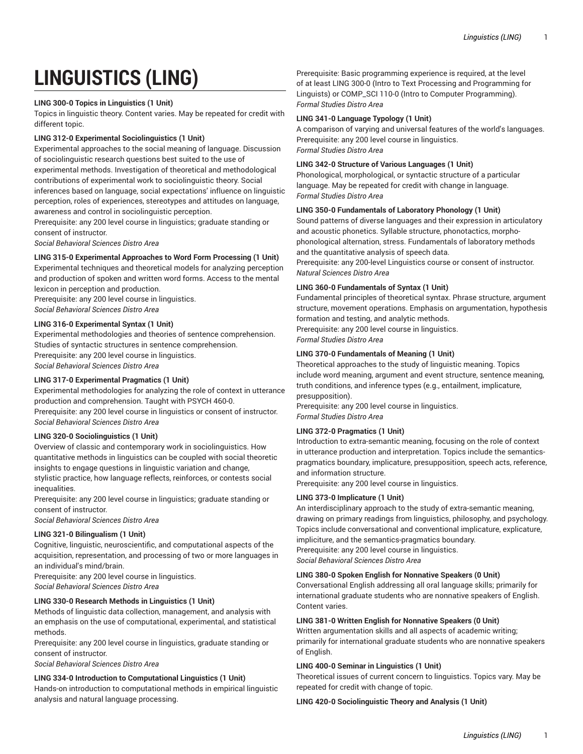# **LINGUISTICS (LING)**

## **LING 300-0 Topics in Linguistics (1 Unit)**

Topics in linguistic theory. Content varies. May be repeated for credit with different topic.

## **LING 312-0 Experimental Sociolinguistics (1 Unit)**

Experimental approaches to the social meaning of language. Discussion of sociolinguistic research questions best suited to the use of experimental methods. Investigation of theoretical and methodological contributions of experimental work to sociolinguistic theory. Social inferences based on language, social expectations' influence on linguistic perception, roles of experiences, stereotypes and attitudes on language, awareness and control in sociolinguistic perception.

Prerequisite: any 200 level course in linguistics; graduate standing or consent of instructor.

*Social Behavioral Sciences Distro Area*

## **LING 315-0 Experimental Approaches to Word Form Processing (1 Unit)**

Experimental techniques and theoretical models for analyzing perception and production of spoken and written word forms. Access to the mental lexicon in perception and production.

Prerequisite: any 200 level course in linguistics. *Social Behavioral Sciences Distro Area*

## **LING 316-0 Experimental Syntax (1 Unit)**

Experimental methodologies and theories of sentence comprehension. Studies of syntactic structures in sentence comprehension. Prerequisite: any 200 level course in linguistics. *Social Behavioral Sciences Distro Area*

## **LING 317-0 Experimental Pragmatics (1 Unit)**

Experimental methodologies for analyzing the role of context in utterance production and comprehension. Taught with PSYCH 460-0. Prerequisite: any 200 level course in linguistics or consent of instructor. *Social Behavioral Sciences Distro Area*

## **LING 320-0 Sociolinguistics (1 Unit)**

Overview of classic and contemporary work in sociolinguistics. How quantitative methods in linguistics can be coupled with social theoretic insights to engage questions in linguistic variation and change, stylistic practice, how language reflects, reinforces, or contests social inequalities.

Prerequisite: any 200 level course in linguistics; graduate standing or consent of instructor.

*Social Behavioral Sciences Distro Area*

# **LING 321-0 Bilingualism (1 Unit)**

Cognitive, linguistic, neuroscientific, and computational aspects of the acquisition, representation, and processing of two or more languages in an individual's mind/brain.

Prerequisite: any 200 level course in linguistics. *Social Behavioral Sciences Distro Area*

## **LING 330-0 Research Methods in Linguistics (1 Unit)**

Methods of linguistic data collection, management, and analysis with an emphasis on the use of computational, experimental, and statistical methods.

Prerequisite: any 200 level course in linguistics, graduate standing or consent of instructor.

*Social Behavioral Sciences Distro Area*

**LING 334-0 Introduction to Computational Linguistics (1 Unit)**  Hands-on introduction to computational methods in empirical linguistic analysis and natural language processing.

Prerequisite: Basic programming experience is required, at the level of at least LING 300-0 (Intro to Text Processing and Programming for Linguists) or COMP\_SCI 110-0 (Intro to Computer Programming). *Formal Studies Distro Area*

## **LING 341-0 Language Typology (1 Unit)**

A comparison of varying and universal features of the world's languages. Prerequisite: any 200 level course in linguistics. *Formal Studies Distro Area*

## **LING 342-0 Structure of Various Languages (1 Unit)**

Phonological, morphological, or syntactic structure of a particular language. May be repeated for credit with change in language. *Formal Studies Distro Area*

## **LING 350-0 Fundamentals of Laboratory Phonology (1 Unit)**

Sound patterns of diverse languages and their expression in articulatory and acoustic phonetics. Syllable structure, phonotactics, morphophonological alternation, stress. Fundamentals of laboratory methods and the quantitative analysis of speech data.

Prerequisite: any 200-level Linguistics course or consent of instructor. *Natural Sciences Distro Area*

## **LING 360-0 Fundamentals of Syntax (1 Unit)**

Fundamental principles of theoretical syntax. Phrase structure, argument structure, movement operations. Emphasis on argumentation, hypothesis formation and testing, and analytic methods.

Prerequisite: any 200 level course in linguistics.

*Formal Studies Distro Area*

## **LING 370-0 Fundamentals of Meaning (1 Unit)**

Theoretical approaches to the study of linguistic meaning. Topics include word meaning, argument and event structure, sentence meaning, truth conditions, and inference types (e.g., entailment, implicature, presupposition).

Prerequisite: any 200 level course in linguistics. *Formal Studies Distro Area*

## **LING 372-0 Pragmatics (1 Unit)**

Introduction to extra-semantic meaning, focusing on the role of context in utterance production and interpretation. Topics include the semanticspragmatics boundary, implicature, presupposition, speech acts, reference, and information structure.

Prerequisite: any 200 level course in linguistics.

## **LING 373-0 Implicature (1 Unit)**

An interdisciplinary approach to the study of extra-semantic meaning, drawing on primary readings from linguistics, philosophy, and psychology. Topics include conversational and conventional implicature, explicature, impliciture, and the semantics-pragmatics boundary. Prerequisite: any 200 level course in linguistics. *Social Behavioral Sciences Distro Area*

## **LING 380-0 Spoken English for Nonnative Speakers (0 Unit)**

Conversational English addressing all oral language skills; primarily for international graduate students who are nonnative speakers of English. Content varies.

## **LING 381-0 Written English for Nonnative Speakers (0 Unit)**

Written argumentation skills and all aspects of academic writing; primarily for international graduate students who are nonnative speakers of English.

## **LING 400-0 Seminar in Linguistics (1 Unit)**

Theoretical issues of current concern to linguistics. Topics vary. May be repeated for credit with change of topic.

## **LING 420-0 Sociolinguistic Theory and Analysis (1 Unit)**